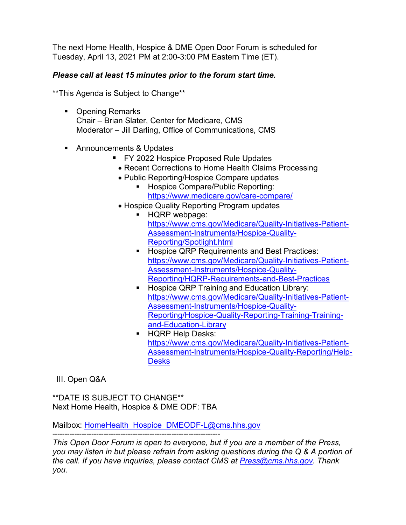The next Home Health, Hospice & DME Open Door Forum is scheduled for Tuesday, April 13, 2021 PM at 2:00-3:00 PM Eastern Time (ET).

## *Please call at least 15 minutes prior to the forum start time.*

\*\*This Agenda is Subject to Change\*\*

- Opening Remarks Chair – Brian Slater, Center for Medicare, CMS Moderator – Jill Darling, Office of Communications, CMS
- Announcements & Updates
	- **FY 2022 Hospice Proposed Rule Updates** 
		- Recent Corrections to Home Health Claims Processing
		- Public Reporting/Hospice Compare updates
			- **Hospice Compare/Public Reporting:** <https://www.medicare.gov/care-compare/>
		- Hospice Quality Reporting Program updates
			- **HQRP** webpage: [https://www.cms.gov/Medicare/Quality-Initiatives-Patient-](https://www.cms.gov/Medicare/Quality-Initiatives-Patient-Assessment-Instruments/Hospice-Quality-Reporting/Spotlight.html)[Assessment-Instruments/Hospice-Quality-](https://www.cms.gov/Medicare/Quality-Initiatives-Patient-Assessment-Instruments/Hospice-Quality-Reporting/Spotlight.html)[Reporting/Spotlight.html](https://www.cms.gov/Medicare/Quality-Initiatives-Patient-Assessment-Instruments/Hospice-Quality-Reporting/Spotlight.html)
			- **Hospice QRP Requirements and Best Practices:** [https://www.cms.gov/Medicare/Quality-Initiatives-Patient-](https://www.cms.gov/Medicare/Quality-Initiatives-Patient-Assessment-Instruments/Hospice-Quality-Reporting/HQRP-Requirements-and-Best-Practices)[Assessment-Instruments/Hospice-Quality-](https://www.cms.gov/Medicare/Quality-Initiatives-Patient-Assessment-Instruments/Hospice-Quality-Reporting/HQRP-Requirements-and-Best-Practices)[Reporting/HQRP-Requirements-and-Best-Practices](https://www.cms.gov/Medicare/Quality-Initiatives-Patient-Assessment-Instruments/Hospice-Quality-Reporting/HQRP-Requirements-and-Best-Practices)
			- **Hospice QRP Training and Education Library:** [https://www.cms.gov/Medicare/Quality-Initiatives-Patient-](https://www.cms.gov/Medicare/Quality-Initiatives-Patient-Assessment-Instruments/Hospice-Quality-Reporting/Hospice-Quality-Reporting-Training-Training-and-Education-Library)[Assessment-Instruments/Hospice-Quality-](https://www.cms.gov/Medicare/Quality-Initiatives-Patient-Assessment-Instruments/Hospice-Quality-Reporting/Hospice-Quality-Reporting-Training-Training-and-Education-Library)[Reporting/Hospice-Quality-Reporting-Training-Training](https://www.cms.gov/Medicare/Quality-Initiatives-Patient-Assessment-Instruments/Hospice-Quality-Reporting/Hospice-Quality-Reporting-Training-Training-and-Education-Library)[and-Education-Library](https://www.cms.gov/Medicare/Quality-Initiatives-Patient-Assessment-Instruments/Hospice-Quality-Reporting/Hospice-Quality-Reporting-Training-Training-and-Education-Library)
			- **HQRP Help Desks:** [https://www.cms.gov/Medicare/Quality-Initiatives-Patient-](https://www.cms.gov/Medicare/Quality-Initiatives-Patient-Assessment-Instruments/Hospice-Quality-Reporting/Help-Desks)[Assessment-Instruments/Hospice-Quality-Reporting/Help-](https://www.cms.gov/Medicare/Quality-Initiatives-Patient-Assessment-Instruments/Hospice-Quality-Reporting/Help-Desks)**[Desks](https://www.cms.gov/Medicare/Quality-Initiatives-Patient-Assessment-Instruments/Hospice-Quality-Reporting/Help-Desks)**

III. Open Q&A

\*\*DATE IS SUBJECT TO CHANGE\*\* Next Home Health, Hospice & DME ODF: TBA

Mailbox: [HomeHealth\\_Hospice\\_DMEODF-L@cms.hhs.gov](mailto:HomeHealth_Hospice_DMEODF-L@cms.hhs.gov)

--------------------------------------------------------------------- *This Open Door Forum is open to everyone, but if you are a member of the Press, you may listen in but please refrain from asking questions during the Q & A portion of the call. If you have inquiries, please contact CMS at [Press@cms.hhs.gov.](mailto:Press@cms.hhs.gov) Thank you.*